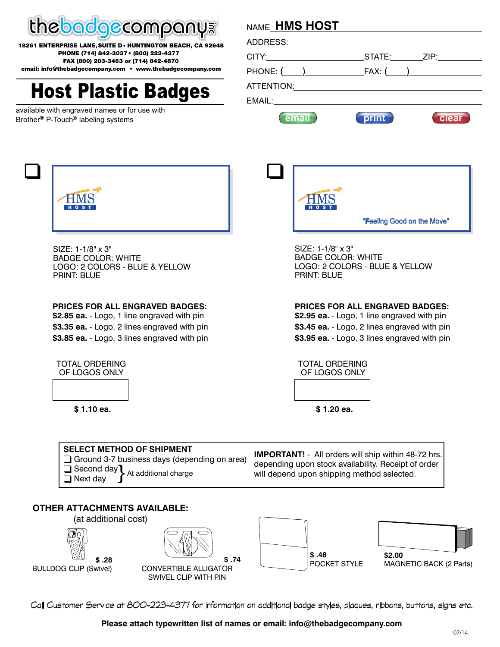

**18261 ENTERPRISE LANE, SUITE D• HUNTINGTON BEACH, CA 92648 PHONE (714) 842-3037 • (800) 223-4377 FAX (800) 203-3463 or (714) 842-4870**

**email: info@thebadgecompany.com • www.thebadgecompany.com**

# **Host Plastic Badges**

available with engraved names or for use with Brother<sup>®</sup> P-Touch<sup>®</sup> labeling systems

# **HMS HOST** NAME

|                       |       | STATE: ZIP: |
|-----------------------|-------|-------------|
|                       |       |             |
| ATTENTION: ATTENTION: |       |             |
| EMAIL:                |       |             |
| email                 | print | clear       |



SIZE: 1-1/8" x 3" BADGE COLOR: WHITE LOGO: 2 COLORS - BLUE & YELLOW PRINT: BLUE

#### **PRICES FOR ALL ENGRAVED BADGES:**

**\$2.85 ea.** - Logo, 1 line engraved with pin **\$3.35 ea.** - Logo, 2 lines engraved with pin **\$3.85 ea.** - Logo, 3 lines engraved with pin



**\$ 1.10 ea.**



SIZE: 1-1/8" x 3" BADGE COLOR: WHITE LOGO: 2 COLORS - BLUE & YELLOW PRINT: BLUE

**PRICES FOR ALL ENGRAVED BADGES:**

**\$2.95 ea.** - Logo, 1 line engraved with pin **\$3.45 ea.** - Logo, 2 lines engraved with pin **\$3.95 ea.** - Logo, 3 lines engraved with pin



**\$ 1.20 ea.**

| <b>SELECT METHOD OF SHIPMENT</b>                    |  |  |  |  |
|-----------------------------------------------------|--|--|--|--|
| $\Box$ Ground 3-7 business days (depending on area) |  |  |  |  |
| Second day At additional charge<br>$\Box$ Next day  |  |  |  |  |

**IMPORTANT!** - All orders will ship within 48-72 hrs. depending upon stock availability. Receipt of order will depend upon shipping method selected.

### **OTHER ATTACHMENTS AVAILABLE:**



Call Customer Service at 800-223-4377 for information on additional badge styles, plaques, ribbons, buttons, signs etc.

**Please attach typewritten list of names or email: info@thebadgecompany.com**